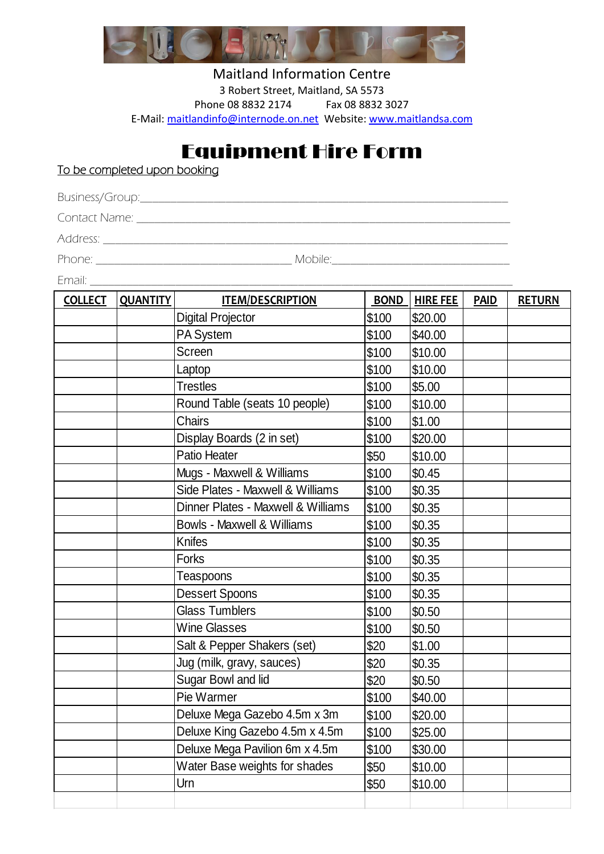

Maitland Information Centre 3 Robert Street, Maitland, SA 5573 Phone 08 8832 2174 Fax 08 8832 3027 E-Mail: [maitlandinfo@internode.on.net](mailto:maitlandinfo@internode.on.net) Website: [www.maitlandsa.com](http://www.maitlandsa.com/)

## Equipment Hire Form

To be completed upon booking

Business/Group:\_\_\_\_\_\_\_\_\_\_\_\_\_\_\_\_\_\_\_\_\_\_\_\_\_\_\_\_\_\_\_\_\_\_\_\_\_\_\_\_\_\_\_\_\_\_\_\_\_\_\_\_\_\_\_\_\_\_\_\_

Contact Name:  $\blacksquare$ 

Address:

Phone: \_\_\_\_\_\_\_\_\_\_\_\_\_\_\_\_\_\_\_\_\_\_\_\_\_\_\_\_\_\_\_\_ Mobile:\_\_\_\_\_\_\_\_\_\_\_\_\_\_\_\_\_\_\_\_\_\_\_\_\_\_\_\_\_

Email: \_\_\_\_\_\_\_\_\_\_\_\_\_\_\_\_\_\_\_\_\_\_\_\_\_\_\_\_\_\_\_\_\_\_\_\_\_\_\_\_\_\_\_\_\_\_\_\_\_\_\_\_\_\_\_\_\_\_\_\_\_\_\_\_\_\_\_\_\_

| <b>COLLECT</b> | <b>QUANTITY</b> | <b>ITEM/DESCRIPTION</b>            | <b>BOND</b> | <b>HIRE FEE</b> | <b>PAID</b> | <b>RETURN</b> |
|----------------|-----------------|------------------------------------|-------------|-----------------|-------------|---------------|
|                |                 | <b>Digital Projector</b>           | \$100       | \$20.00         |             |               |
|                |                 | PA System                          | \$100       | \$40.00         |             |               |
|                |                 | Screen                             | \$100       | \$10.00         |             |               |
|                |                 | Laptop                             | \$100       | \$10.00         |             |               |
|                |                 | <b>Trestles</b>                    | \$100       | \$5.00          |             |               |
|                |                 | Round Table (seats 10 people)      | \$100       | \$10.00         |             |               |
|                |                 | Chairs                             | \$100       | \$1.00          |             |               |
|                |                 | Display Boards (2 in set)          | \$100       | \$20.00         |             |               |
|                |                 | Patio Heater                       | \$50        | \$10.00         |             |               |
|                |                 | Mugs - Maxwell & Williams          | \$100       | \$0.45          |             |               |
|                |                 | Side Plates - Maxwell & Williams   | \$100       | \$0.35          |             |               |
|                |                 | Dinner Plates - Maxwell & Williams | \$100       | \$0.35          |             |               |
|                |                 | Bowls - Maxwell & Williams         | \$100       | \$0.35          |             |               |
|                |                 | Knifes                             | \$100       | \$0.35          |             |               |
|                |                 | <b>Forks</b>                       | \$100       | \$0.35          |             |               |
|                |                 | Teaspoons                          | \$100       | \$0.35          |             |               |
|                |                 | <b>Dessert Spoons</b>              | \$100       | \$0.35          |             |               |
|                |                 | <b>Glass Tumblers</b>              | \$100       | \$0.50          |             |               |
|                |                 | <b>Wine Glasses</b>                | \$100       | \$0.50          |             |               |
|                |                 | Salt & Pepper Shakers (set)        | \$20        | \$1.00          |             |               |
|                |                 | Jug (milk, gravy, sauces)          | \$20        | \$0.35          |             |               |
|                |                 | Sugar Bowl and lid                 | \$20        | \$0.50          |             |               |
|                |                 | Pie Warmer                         | \$100       | \$40.00         |             |               |
|                |                 | Deluxe Mega Gazebo 4.5m x 3m       | \$100       | \$20.00         |             |               |
|                |                 | Deluxe King Gazebo 4.5m x 4.5m     | \$100       | \$25.00         |             |               |
|                |                 | Deluxe Mega Pavilion 6m x 4.5m     | \$100       | \$30.00         |             |               |
|                |                 | Water Base weights for shades      | \$50        | \$10.00         |             |               |
|                |                 | Urn                                | \$50        | \$10.00         |             |               |
|                |                 |                                    |             |                 |             |               |